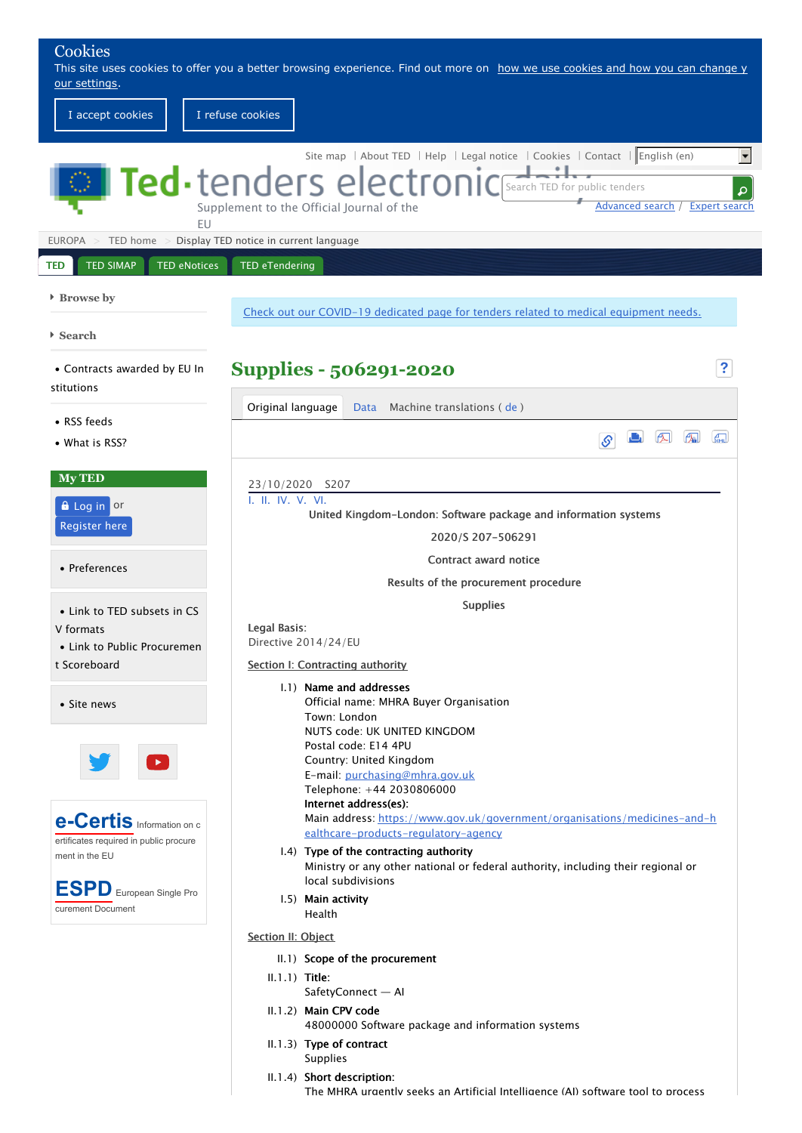| Cookies                                                                                 | This site uses cookies to offer you a better browsing experience. Find out more on how we use cookies and how you can change y                                                                                                                                              |  |  |
|-----------------------------------------------------------------------------------------|-----------------------------------------------------------------------------------------------------------------------------------------------------------------------------------------------------------------------------------------------------------------------------|--|--|
| our settings.<br>I accept cookies                                                       | I refuse cookies                                                                                                                                                                                                                                                            |  |  |
| <b>FU</b>                                                                               | Site map   About TED   Help   Legal notice   Cookies   Contact   English (en)<br><b>Ted</b> $\cdot$ tenders electronic Search TED for public tenders<br>$\boldsymbol{\mathsf{a}}$<br>Advanced search /<br><b>Expert search</b><br>Supplement to the Official Journal of the |  |  |
| <b>EUROPA</b>                                                                           | TED home > Display TED notice in current language                                                                                                                                                                                                                           |  |  |
| <b>TED SIMAP</b><br><b>TED eNotices</b><br><b>TED</b>                                   | <b>TED eTendering</b>                                                                                                                                                                                                                                                       |  |  |
| ▶ Browse by                                                                             | Check out our COVID-19 dedicated page for tenders related to medical equipment needs.                                                                                                                                                                                       |  |  |
| $\triangleright$ Search                                                                 |                                                                                                                                                                                                                                                                             |  |  |
| • Contracts awarded by EU In                                                            | $\ddot{\mathbf{?}}$<br><b>Supplies - 506291-2020</b>                                                                                                                                                                                                                        |  |  |
| stitutions                                                                              | Original language<br>Data Machine translations (de)                                                                                                                                                                                                                         |  |  |
| • RSS feeds<br>• What is RSS?                                                           | $\sqrt{2}$<br>$\epsilon$<br>$\mathcal{S}$                                                                                                                                                                                                                                   |  |  |
| <b>My TED</b>                                                                           | 23/10/2020 S207                                                                                                                                                                                                                                                             |  |  |
| <b>A</b> Log in or<br><b>Register here</b>                                              | I. II. IV. V. VI.<br>United Kingdom-London: Software package and information systems<br>2020/S 207-506291                                                                                                                                                                   |  |  |
| • Preferences                                                                           | Contract award notice                                                                                                                                                                                                                                                       |  |  |
|                                                                                         | Results of the procurement procedure                                                                                                                                                                                                                                        |  |  |
| • Link to TED subsets in CS<br>V formats<br>• Link to Public Procuremen<br>t Scoreboard | <b>Supplies</b><br>Legal Basis:<br>Directive 2014/24/EU<br>Section I: Contracting authority                                                                                                                                                                                 |  |  |
| • Site news                                                                             | 1.1) Name and addresses<br>Official name: MHRA Buyer Organisation<br>Town: London<br>NUTS code: UK UNITED KINGDOM<br>Postal code: E14 4PU                                                                                                                                   |  |  |
| <b>e-Certis</b> Information on c                                                        | Country: United Kingdom<br>E-mail: purchasing@mhra.gov.uk<br>Telephone: +44 2030806000<br>Internet address(es):<br>Main address: https://www.gov.uk/government/organisations/medicines-and-h                                                                                |  |  |
| ertificates required in public procure<br>ment in the EU                                | ealthcare-products-regulatory-agency<br>1.4) Type of the contracting authority<br>Ministry or any other national or federal authority, including their regional or                                                                                                          |  |  |
| <b>ESPD</b> European Single Pro<br>curement Document                                    | local subdivisions<br>1.5) Main activity<br>Health                                                                                                                                                                                                                          |  |  |
|                                                                                         | Section II: Object                                                                                                                                                                                                                                                          |  |  |
|                                                                                         | II.1) Scope of the procurement                                                                                                                                                                                                                                              |  |  |
|                                                                                         | $II.1.1)$ Title:<br>SafetyConnect - Al                                                                                                                                                                                                                                      |  |  |
|                                                                                         | II.1.2) Main CPV code<br>48000000 Software package and information systems                                                                                                                                                                                                  |  |  |

- II.1.3) Type of contract Supplies
- II.1.4) Short description:

The MHRA urgently seeks an Artificial Intelligence (AI) software tool to process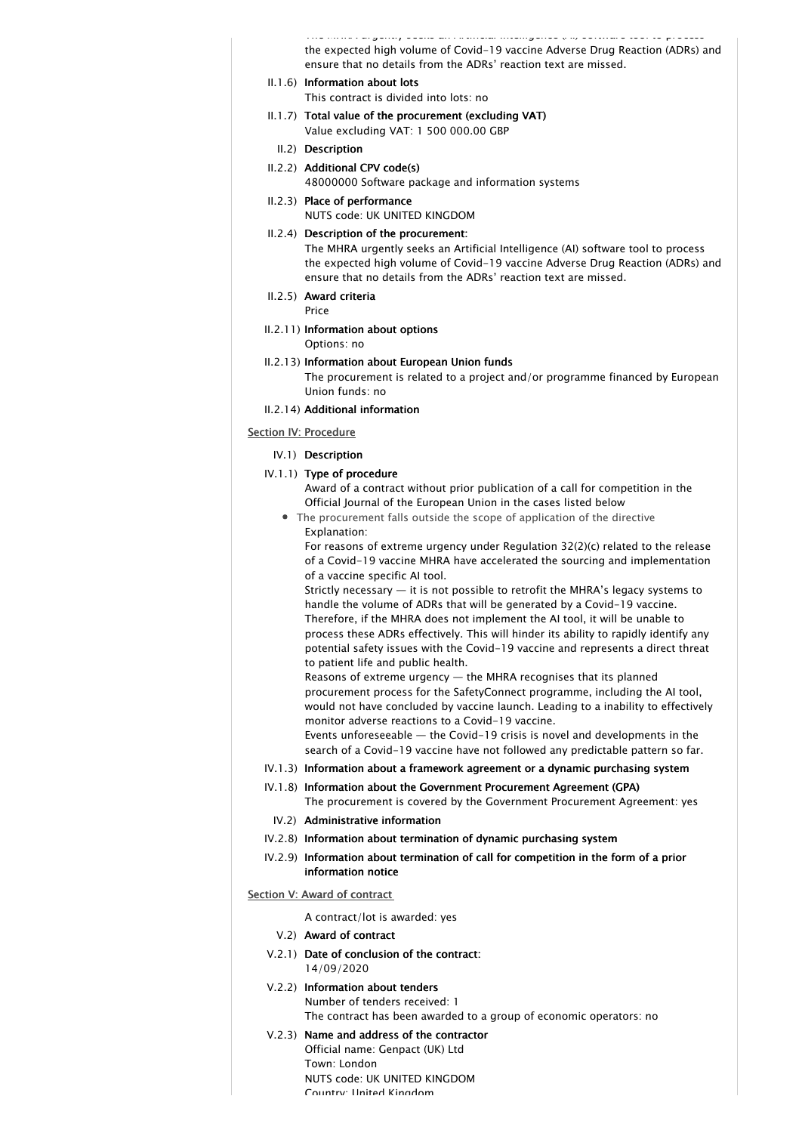The MHRA urgently seeks an Artificial Intelligence (AI) software tool to process the expected high volume of Covid-19 vaccine Adverse Drug Reaction (ADRs) and ensure that no details from the ADRs' reaction text are missed.

II.1.6) Information about lots

This contract is divided into lots: no

- II.1.7) Total value of the procurement (excluding VAT) Value excluding VAT: 1 500 000.00 GBP
	- II.2) Description
- II.2.2) Additional CPV code(s) 48000000 Software package and information systems
- II.2.3) Place of performance

NUTS code: UK UNITED KINGDOM

II.2.4) Description of the procurement:

The MHRA urgently seeks an Artificial Intelligence (AI) software tool to process the expected high volume of Covid-19 vaccine Adverse Drug Reaction (ADRs) and ensure that no details from the ADRs' reaction text are missed.

II.2.5) Award criteria

Price

II.2.11) Information about options

Options: no

II.2.13) Information about European Union funds

The procurement is related to a project and/or programme financed by European Union funds: no

II.2.14) Additional information

## Section IV: Procedure

- IV.1) Description
- IV.1.1) Type of procedure

Award of a contract without prior publication of a call for competition in the Official Journal of the European Union in the cases listed below

The procurement falls outside the scope of application of the directive Explanation:

For reasons of extreme urgency under Regulation 32(2)(c) related to the release of a Covid-19 vaccine MHRA have accelerated the sourcing and implementation of a vaccine specific AI tool.

Strictly necessary — it is not possible to retrofit the MHRA's legacy systems to handle the volume of ADRs that will be generated by a Covid-19 vaccine. Therefore, if the MHRA does not implement the AI tool, it will be unable to process these ADRs effectively. This will hinder its ability to rapidly identify any potential safety issues with the Covid-19 vaccine and represents a direct threat to patient life and public health.

Reasons of extreme urgency — the MHRA recognises that its planned procurement process for the SafetyConnect programme, including the AI tool, would not have concluded by vaccine launch. Leading to a inability to effectively monitor adverse reactions to a Covid-19 vaccine.

Events unforeseeable — the Covid-19 crisis is novel and developments in the search of a Covid-19 vaccine have not followed any predictable pattern so far.

- IV.1.3) Information about a framework agreement or a dynamic purchasing system
- IV.1.8) Information about the Government Procurement Agreement (GPA) The procurement is covered by the Government Procurement Agreement: yes
	- IV.2) Administrative information
- IV.2.8) Information about termination of dynamic purchasing system
- IV.2.9) Information about termination of call for competition in the form of a prior information notice

Section V: Award of contract

- A contract/lot is awarded: yes
- V.2) Award of contract
- V.2.1) Date of conclusion of the contract: 14/09/2020
- V.2.2) Information about tenders Number of tenders received: 1 The contract has been awarded to a group of economic operators: no
- V.2.3) Name and address of the contractor Official name: Genpact (UK) Ltd Town: London NUTS code: UK UNITED KINGDOM Country: United Kingdom